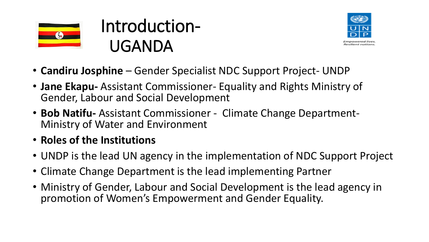

## Introduction-UGANDA



- **Candiru Josphine**  Gender Specialist NDC Support Project- UNDP
- **Jane Ekapu-** Assistant Commissioner- Equality and Rights Ministry of Gender, Labour and Social Development
- **Bob Natifu-** Assistant Commissioner Climate Change Department-Ministry of Water and Environment
- **Roles of the Institutions**
- UNDP is the lead UN agency in the implementation of NDC Support Project
- Climate Change Department is the lead implementing Partner
- Ministry of Gender, Labour and Social Development is the lead agency in promotion of Women's Empowerment and Gender Equality.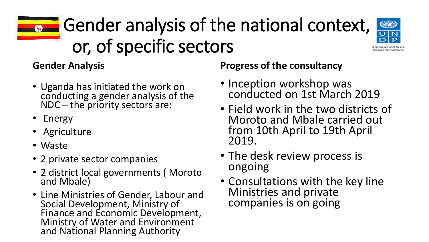## Gender analysis of the national context, or, of specific sectors



**Gender Analysis** 

- Uganda has initiated the work on conducting a gender analysis of the NDC – the priority sectors are:
- Energy
- Agriculture
- Waste
- 2 private sector companies
- 2 district local governments ( Moroto and Mbale)
- Line Ministries of Gender, Labour and Social Development, Ministry of Finance and Economic Development, Ministry of Water and Environment and National Planning Authority

**Progress of the consultancy** 

- Inception workshop was conducted on 1st March 2019
- Field work in the two districts of Moroto and Mbale carried out from 10th April to 19th April 2019.
- The desk review process is ongoing
- Consultations with the key line Ministries and private companies is on going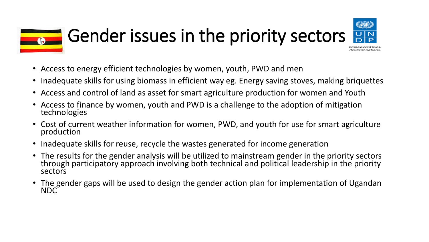## Gender issues in the priority sectors

- Access to energy efficient technologies by women, youth, PWD and men
- Inadequate skills for using biomass in efficient way eg. Energy saving stoves, making briquettes
- Access and control of land as asset for smart agriculture production for women and Youth
- Access to finance by women, youth and PWD is a challenge to the adoption of mitigation technologies
- Cost of current weather information for women, PWD, and youth for use for smart agriculture production
- Inadequate skills for reuse, recycle the wastes generated for income generation
- The results for the gender analysis will be utilized to mainstream gender in the priority sectors through participatory approach involving both technical and political leadership in the priority sectors
- The gender gaps will be used to design the gender action plan for implementation of Ugandan NDC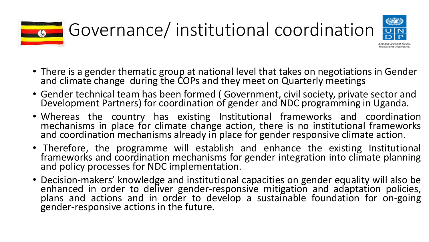

- Empowered lives Resilient nations
- There is a gender thematic group at national level that takes on negotiations in Gender and climate change during the COPs and they meet on Quarterly meetings
- Gender technical team has been formed ( Government, civil society, private sector and Development Partners) for coordination of gender and NDC programming in Uganda.
- Whereas the country has existing Institutional frameworks and coordination mechanisms in place for climate change action, there is no institutional frameworks and coordination mechanisms already in place for gender responsive climate action.
- Therefore, the programme will establish and enhance the existing Institutional frameworks and coordination mechanisms for gender integration into climate planning and policy processes for NDC implementation.
- Decision-makers' knowledge and institutional capacities on gender equality will also be enhanced in order to deliver gender-responsive mitigation and adaptation policies, plans and actions and in order to develop a sustainable foundation for on-going gender-responsive actions in the future.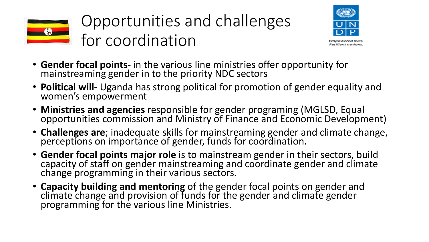

Opportunities and challenges for coordination



- Empowered lives Resilient nations
- **Gender focal points-** in the various line ministries offer opportunity for mainstreaming gender in to the priority NDC sectors
- **Political will-** Uganda has strong political for promotion of gender equality and women's empowerment
- **Ministries and agencies** responsible for gender programing (MGLSD, Equal opportunities commission and Ministry of Finance and Economic Development)
- **Challenges are**; inadequate skills for mainstreaming gender and climate change, perceptions on importance of gender, funds for coordination.
- **Gender focal points major role** is to mainstream gender in their sectors, build capacity of staff on gender mainstreaming and coordinate gender and climate change programming in their various sectors.
- **Capacity building and mentoring** of the gender focal points on gender and climate change and provision of funds for the gender and climate gender programming for the various line Ministries.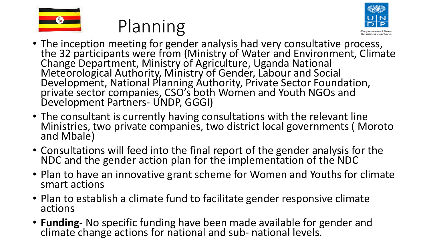





- The inception meeting for gender analysis had very consultative process, the 32 participants were from (Ministry of Water and Environment, Climate Change Department, Ministry of Agriculture, Uganda National Meteorological Authority, Ministry of Gender, Labour and Social Development, National Planning Authority, Private Sector Foundation, private sector companies, CSO's both Women and Youth NGOs and Development Partners- UNDP, GGGI)
- The consultant is currently having consultations with the relevant line Ministries, two private companies, two district local governments ( Moroto and Mbale)
- Consultations will feed into the final report of the gender analysis for the NDC and the gender action plan for the implementation of the NDC
- Plan to have an innovative grant scheme for Women and Youths for climate smart actions
- Plan to establish a climate fund to facilitate gender responsive climate actions
- **Funding** No specific funding have been made available for gender and climate change actions for national and sub- national levels.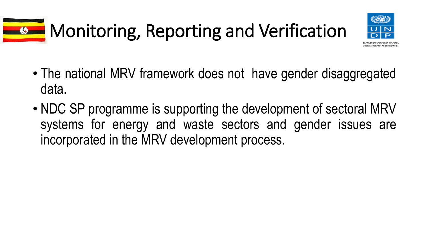## **Monitoring, Reporting and Verification**



- The national MRV framework does not have gender disaggregated data.
- NDC SP programme is supporting the development of sectoral MRV systems for energy and waste sectors and gender issues are incorporated in the MRV development process.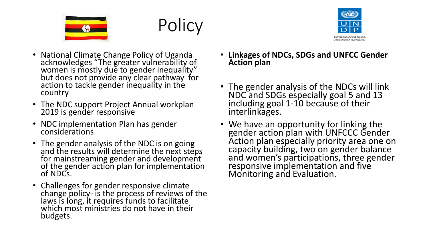





- National Climate Change Policy of Uganda acknowledges "The greater vulnerability of women is mostly due to gender inequality" but does not provide any clear pathway for action to tackle gender inequality in the country
- The NDC support Project Annual workplan 2019 is gender responsive
- NDC implementation Plan has gender considerations
- The gender analysis of the NDC is on going and the results will determine the next steps for mainstreaming gender and development of the gender action plan for implementation of NDCs.
- Challenges for gender responsive climate change policy- is the process of reviews of the laws is long, it requires funds to facilitate which most ministries do not have in their budgets.
- **Linkages of NDCs, SDGs and UNFCC Gender Action plan**
- The gender analysis of the NDCs will link NDC and SDGs especially goal 5 and 13 including goal 1-10 because of their interlinkages.
- We have an opportunity for linking the gender action plan with UNFCCC Gender Action plan especially priority area one on capacity building, two on gender balance and women's participations, three gender responsive implementation and five Monitoring and Evaluation.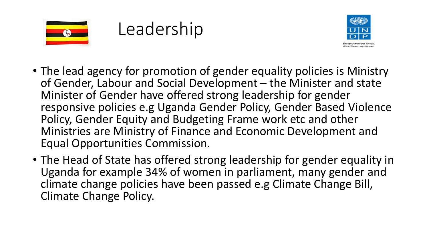





- The lead agency for promotion of gender equality policies is Ministry of Gender, Labour and Social Development – the Minister and state Minister of Gender have offered strong leadership for gender responsive policies e.g Uganda Gender Policy, Gender Based Violence Policy, Gender Equity and Budgeting Frame work etc and other Ministries are Ministry of Finance and Economic Development and Equal Opportunities Commission.
- The Head of State has offered strong leadership for gender equality in Uganda for example 34% of women in parliament, many gender and climate change policies have been passed e.g Climate Change Bill, Climate Change Policy.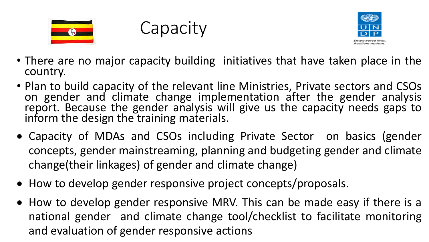

**Capacity** 



- There are no major capacity building initiatives that have taken place in the country.
- Plan to build capacity of the relevant line Ministries, Private sectors and CSOs on gender and climate change implementation after the gender analysis report. Because the gender analysis will give us the capacity needs gaps to inform the design the training materials.
- Capacity of MDAs and CSOs including Private Sector on basics (gender concepts, gender mainstreaming, planning and budgeting gender and climate change(their linkages) of gender and climate change)
- How to develop gender responsive project concepts/proposals.
- How to develop gender responsive MRV. This can be made easy if there is a national gender and climate change tool/checklist to facilitate monitoring and evaluation of gender responsive actions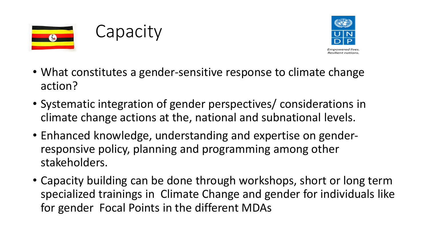





- What constitutes a gender-sensitive response to climate change action?
- Systematic integration of gender perspectives/ considerations in climate change actions at the, national and subnational levels.
- Enhanced knowledge, understanding and expertise on genderresponsive policy, planning and programming among other stakeholders.
- Capacity building can be done through workshops, short or long term specialized trainings in Climate Change and gender for individuals like for gender Focal Points in the different MDAs